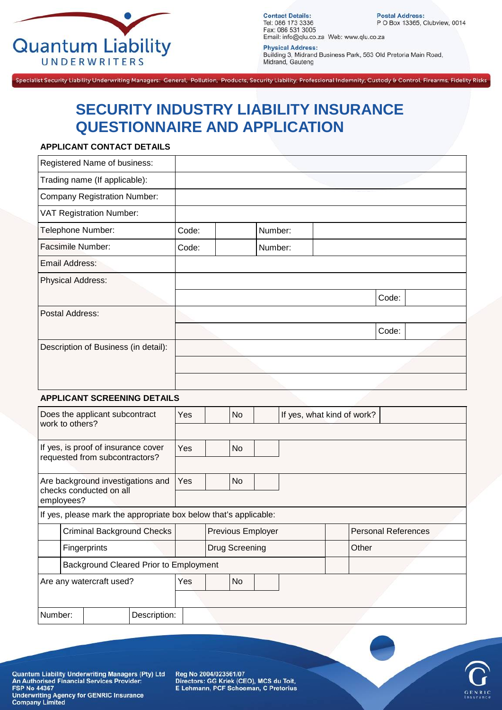

**Contact Details:**<br>Tel: 086 173 3336 Fax: 086 531 3005 Email: info@qlu.co.za Web: www.qlu.co.za

Postal Address:<br>P O Box 13365, Clubview, 0014

**Physical Address:** Building 3, Midrand Business Park, 563 Old Pretoria Main Road, Midrand, Gauteng

Specialist Security Liability Underwriting Managers: General, Pollution, Products, Security Liability, Professional Indemnity, Custody & Control, Firearms, Fidelity Risks

# **SECURITY INDUSTRY LIABILITY INSURANCE QUESTIONNAIRE AND APPLICATION**

#### **APPLICANT CONTACT DETAILS**

| Registered Name of business:         |       |         |       |
|--------------------------------------|-------|---------|-------|
| Trading name (If applicable):        |       |         |       |
| <b>Company Registration Number:</b>  |       |         |       |
| <b>VAT Registration Number:</b>      |       |         |       |
| Telephone Number:                    | Code: | Number: |       |
| <b>Facsimile Number:</b>             | Code: | Number: |       |
| Email Address:                       |       |         |       |
| <b>Physical Address:</b>             |       |         |       |
|                                      |       |         | Code: |
| Postal Address:                      |       |         |       |
|                                      |       |         | Code: |
| Description of Business (in detail): |       |         |       |
|                                      |       |         |       |
|                                      |       |         |       |

#### **APPLICANT SCREENING DETAILS**

|                                                              |            | Does the applicant subcontract<br>work to others?                |              |           | <b>No</b>             |                          | If yes, what kind of work? |       |                            |
|--------------------------------------------------------------|------------|------------------------------------------------------------------|--------------|-----------|-----------------------|--------------------------|----------------------------|-------|----------------------------|
|                                                              |            |                                                                  |              |           |                       |                          |                            |       |                            |
|                                                              |            | If yes, is proof of insurance cover                              |              | Yes       | <b>No</b>             |                          |                            |       |                            |
|                                                              |            | requested from subcontractors?                                   |              |           |                       |                          |                            |       |                            |
| Are background investigations and<br>checks conducted on all |            |                                                                  | Yes          | <b>No</b> |                       |                          |                            |       |                            |
|                                                              | employees? |                                                                  |              |           |                       |                          |                            |       |                            |
|                                                              |            | If yes, please mark the appropriate box below that's applicable: |              |           |                       |                          |                            |       |                            |
|                                                              |            | <b>Criminal Background Checks</b>                                |              |           |                       | <b>Previous Employer</b> |                            |       | <b>Personal References</b> |
|                                                              |            | Fingerprints                                                     |              |           | <b>Drug Screening</b> |                          |                            | Other |                            |
|                                                              |            | Background Cleared Prior to Employment                           |              |           |                       |                          |                            |       |                            |
| Are any watercraft used?                                     |            |                                                                  | Yes          | No        |                       |                          |                            |       |                            |
|                                                              |            |                                                                  |              |           |                       |                          |                            |       |                            |
| Number:                                                      |            |                                                                  | Description: |           |                       |                          |                            |       |                            |

Quantum Liability Underwriting Managers (Pty) Ltd<br>An Authorised Financial Services Provider:<br>FSP No 44367 **Underwriting Agency for GENRIC Insurance Company Limited** 

Reg No 2004/023561/07 Directors: GG Kriek (CEO), MCS du Toit,<br>E Lehmann, PCF Schoeman, C Pretorius

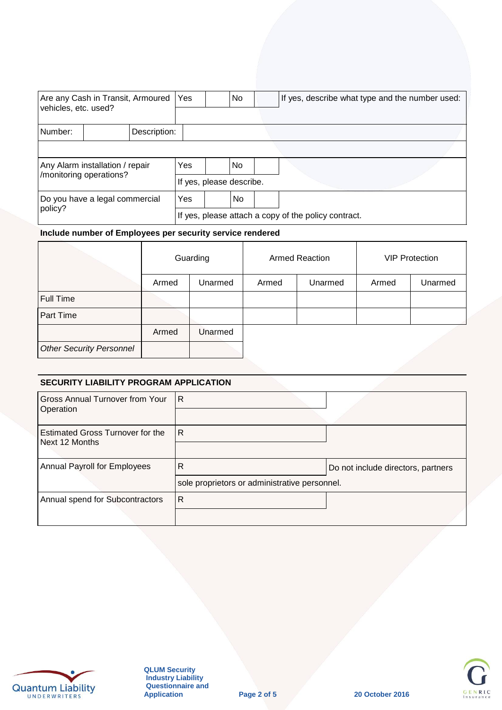| vehicles, etc. used?                      | Are any Cash in Transit, Armoured |                          | Yes                                                  |  | No |  | If yes, describe what type and the number used: |  |
|-------------------------------------------|-----------------------------------|--------------------------|------------------------------------------------------|--|----|--|-------------------------------------------------|--|
| Number:                                   |                                   | Description:             |                                                      |  |    |  |                                                 |  |
|                                           |                                   |                          |                                                      |  |    |  |                                                 |  |
|                                           | Any Alarm installation / repair   |                          | Yes                                                  |  | No |  |                                                 |  |
| /monitoring operations?                   |                                   | If yes, please describe. |                                                      |  |    |  |                                                 |  |
| Do you have a legal commercial<br>policy? |                                   |                          | Yes                                                  |  | No |  |                                                 |  |
|                                           |                                   |                          | If yes, please attach a copy of the policy contract. |  |    |  |                                                 |  |

#### **Include number of Employees per security service rendered**

|                                 |       | Guarding |       | <b>Armed Reaction</b> | <b>VIP Protection</b> |         |  |
|---------------------------------|-------|----------|-------|-----------------------|-----------------------|---------|--|
|                                 | Armed | Unarmed  | Armed | Unarmed               | Armed                 | Unarmed |  |
| Full Time                       |       |          |       |                       |                       |         |  |
| Part Time                       |       |          |       |                       |                       |         |  |
|                                 | Armed | Unarmed  |       |                       |                       |         |  |
| <b>Other Security Personnel</b> |       |          |       |                       |                       |         |  |

#### **SECURITY LIABILITY PROGRAM APPLICATION**

| Gross Annual Turnover from Your<br>Operation       | IR.                                                           |                                    |
|----------------------------------------------------|---------------------------------------------------------------|------------------------------------|
| Estimated Gross Turnover for the<br>Next 12 Months | R                                                             |                                    |
| Annual Payroll for Employees                       | $\mathsf{R}$<br>sole proprietors or administrative personnel. | Do not include directors, partners |
| Annual spend for Subcontractors                    | l R                                                           |                                    |



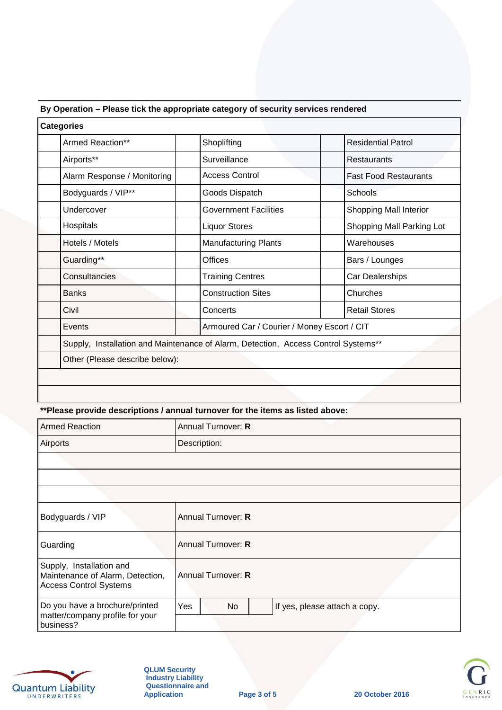| <b>Categories</b>              |                                                                                    |                              |  |  |  |  |  |
|--------------------------------|------------------------------------------------------------------------------------|------------------------------|--|--|--|--|--|
| Armed Reaction**               | Shoplifting                                                                        | <b>Residential Patrol</b>    |  |  |  |  |  |
| Airports**                     | Surveillance                                                                       | <b>Restaurants</b>           |  |  |  |  |  |
| Alarm Response / Monitoring    | <b>Access Control</b>                                                              | <b>Fast Food Restaurants</b> |  |  |  |  |  |
| Bodyguards / VIP**             | Goods Dispatch                                                                     | Schools                      |  |  |  |  |  |
| Undercover                     | <b>Government Facilities</b><br>Shopping Mall Interior                             |                              |  |  |  |  |  |
| Hospitals                      | <b>Liquor Stores</b><br>Shopping Mall Parking Lot                                  |                              |  |  |  |  |  |
| Hotels / Motels                | <b>Manufacturing Plants</b>                                                        | Warehouses                   |  |  |  |  |  |
| Guarding**                     | <b>Offices</b><br>Bars / Lounges                                                   |                              |  |  |  |  |  |
| Consultancies                  | <b>Training Centres</b>                                                            | Car Dealerships              |  |  |  |  |  |
| <b>Banks</b>                   | <b>Construction Sites</b>                                                          | Churches                     |  |  |  |  |  |
| Civil                          | Concerts                                                                           | <b>Retail Stores</b>         |  |  |  |  |  |
| Events                         | Armoured Car / Courier / Money Escort / CIT                                        |                              |  |  |  |  |  |
|                                | Supply, Installation and Maintenance of Alarm, Detection, Access Control Systems** |                              |  |  |  |  |  |
| Other (Please describe below): |                                                                                    |                              |  |  |  |  |  |
|                                |                                                                                    |                              |  |  |  |  |  |

# **By Operation – Please tick the appropriate category of security services rendered**

# **\*\*Please provide descriptions / annual turnover for the items as listed above:**

| <b>Armed Reaction</b>                                                                         | Annual Turnover: R                         |  |  |  |  |  |  |  |
|-----------------------------------------------------------------------------------------------|--------------------------------------------|--|--|--|--|--|--|--|
| <b>Airports</b>                                                                               | Description:                               |  |  |  |  |  |  |  |
|                                                                                               |                                            |  |  |  |  |  |  |  |
|                                                                                               |                                            |  |  |  |  |  |  |  |
|                                                                                               |                                            |  |  |  |  |  |  |  |
| Bodyguards / VIP                                                                              | Annual Turnover: R                         |  |  |  |  |  |  |  |
| Guarding                                                                                      | Annual Turnover: R                         |  |  |  |  |  |  |  |
| Supply, Installation and<br>Maintenance of Alarm, Detection,<br><b>Access Control Systems</b> | Annual Turnover: R                         |  |  |  |  |  |  |  |
| Do you have a brochure/printed<br>matter/company profile for your<br>business?                | Yes<br>No<br>If yes, please attach a copy. |  |  |  |  |  |  |  |



**QLUM Security Industry Liability Questionnaire and Application Page 3 of 5 20 October 2016**

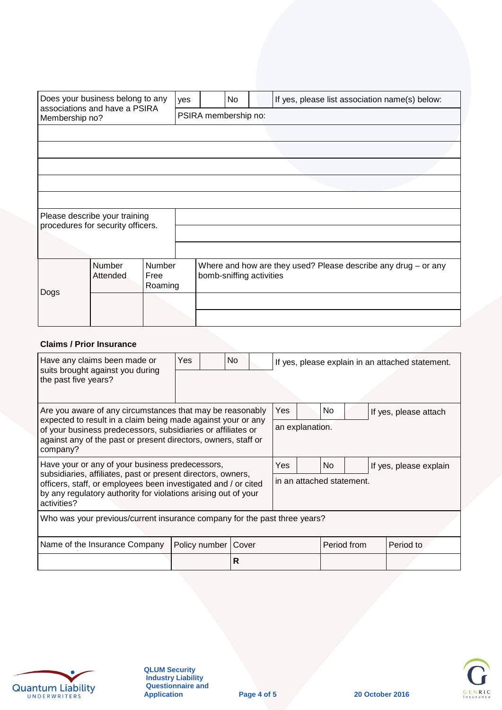|                | Does your business belong to any  |                           | yes | If yes, please list association name(s) below:<br>No |  |                                                                |  |  |  |  |  |  |
|----------------|-----------------------------------|---------------------------|-----|------------------------------------------------------|--|----------------------------------------------------------------|--|--|--|--|--|--|
| Membership no? | associations and have a PSIRA     |                           |     | PSIRA membership no:                                 |  |                                                                |  |  |  |  |  |  |
|                |                                   |                           |     |                                                      |  |                                                                |  |  |  |  |  |  |
|                |                                   |                           |     |                                                      |  |                                                                |  |  |  |  |  |  |
|                |                                   |                           |     |                                                      |  |                                                                |  |  |  |  |  |  |
|                |                                   |                           |     |                                                      |  |                                                                |  |  |  |  |  |  |
|                |                                   |                           |     |                                                      |  |                                                                |  |  |  |  |  |  |
|                | Please describe your training     |                           |     |                                                      |  |                                                                |  |  |  |  |  |  |
|                | procedures for security officers. |                           |     |                                                      |  |                                                                |  |  |  |  |  |  |
|                |                                   |                           |     |                                                      |  |                                                                |  |  |  |  |  |  |
| Dogs           | Number<br>Attended                | Number<br>Free<br>Roaming |     | bomb-sniffing activities                             |  | Where and how are they used? Please describe any drug - or any |  |  |  |  |  |  |
|                |                                   |                           |     |                                                      |  |                                                                |  |  |  |  |  |  |
|                |                                   |                           |     |                                                      |  |                                                                |  |  |  |  |  |  |

# **Claims / Prior Insurance**

| Have any claims been made or<br>suits brought against you during<br>the past five years?                                                                                                                                                                                | Yes. | No.                   |                                                         |  |                                  |  | If yes, please explain in an attached statement. |  |
|-------------------------------------------------------------------------------------------------------------------------------------------------------------------------------------------------------------------------------------------------------------------------|------|-----------------------|---------------------------------------------------------|--|----------------------------------|--|--------------------------------------------------|--|
| Are you aware of any circumstances that may be reasonably<br>expected to result in a claim being made against your or any<br>of your business predecessors, subsidiaries or affiliates or<br>against any of the past or present directors, owners, staff or<br>company? |      |                       | Yes.<br>No.<br>If yes, please attach<br>an explanation. |  |                                  |  |                                                  |  |
| Have your or any of your business predecessors,<br>subsidiaries, affiliates, past or present directors, owners,<br>officers, staff, or employees been investigated and / or cited<br>by any regulatory authority for violations arising out of your<br>activities?      |      |                       | Yes.                                                    |  | No.<br>in an attached statement. |  | If yes, please explain                           |  |
| Who was your previous/current insurance company for the past three years?                                                                                                                                                                                               |      |                       |                                                         |  |                                  |  |                                                  |  |
| Name of the Insurance Company                                                                                                                                                                                                                                           |      | Policy number   Cover |                                                         |  | Period from                      |  | Period to                                        |  |
|                                                                                                                                                                                                                                                                         |      | R                     |                                                         |  |                                  |  |                                                  |  |



**QLUM Security Industry Liability Questionnaire and**